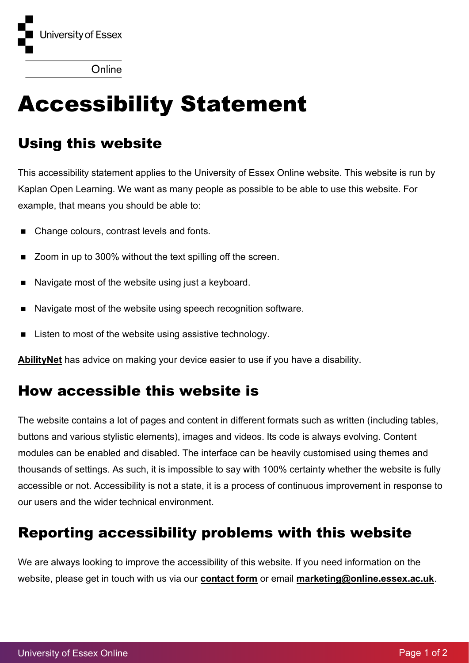

Online

# Accessibility Statement

## Using this website

This accessibility statement applies to the University of Essex Online website. This website is run by Kaplan Open Learning. We want as many people as possible to be able to use this website. For example, that means you should be able to:

- Change colours, contrast levels and fonts.
- Zoom in up to 300% without the text spilling off the screen.
- Navigate most of the website using just a keyboard.
- Navigate most of the website using speech recognition software.
- Listen to most of the website using assistive technology.

**[AbilityNet](https://mcmw.abilitynet.org.uk/)** has advice on making your device easier to use if you have a disability.

#### How accessible this website is

The website contains a lot of pages and content in different formats such as written (including tables, buttons and various stylistic elements), images and videos. Its code is always evolving. Content modules can be enabled and disabled. The interface can be heavily customised using themes and thousands of settings. As such, it is impossible to say with 100% certainty whether the website is fully accessible or not. Accessibility is not a state, it is a process of continuous improvement in response to our users and the wider technical environment.

## Reporting accessibility problems with this website

We are always looking to improve the accessibility of this website. If you need information on the website, please get in touch with us via our **[contact form](https://online.essex.ac.uk/contact-us/)** or email **[marketing@online.essex.ac.uk](mailto:marketing@online.essex.ac.uk)**.